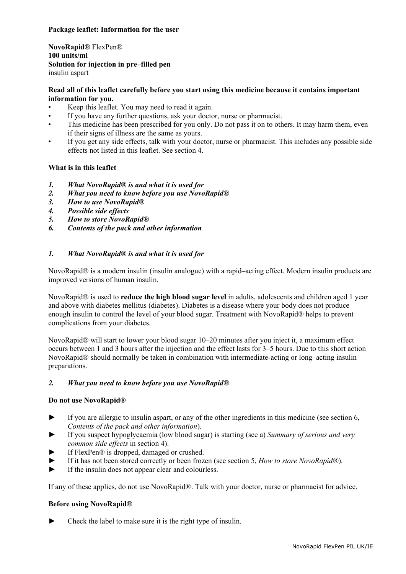## **Package leaflet: Information for the user**

**NovoRapid®** FlexPen® **100 units/ml Solution for injection in pre–filled pen**  insulin aspart

## **Read all of this leaflet carefully before you start using this medicine because it contains important information for you.**

- Keep this leaflet. You may need to read it again.
- If you have any further questions, ask your doctor, nurse or pharmacist.
- This medicine has been prescribed for you only. Do not pass it on to others. It may harm them, even if their signs of illness are the same as yours.
- If you get any side effects, talk with your doctor, nurse or pharmacist. This includes any possible side effects not listed in this leaflet. See section 4.

## **What is in this leaflet**

- *1. What NovoRapid® is and what it is used for*
- *2. What you need to know before you use NovoRapid®*
- *3. How to use NovoRapid®*
- *4. Possible side effects*
- *5. How to store NovoRapid®*
- *6. Contents of the pack and other information*

## *1. What NovoRapid® is and what it is used for*

NovoRapid® is a modern insulin (insulin analogue) with a rapid–acting effect. Modern insulin products are improved versions of human insulin.

NovoRapid® is used to **reduce the high blood sugar level** in adults, adolescents and children aged 1 year and above with diabetes mellitus (diabetes). Diabetes is a disease where your body does not produce enough insulin to control the level of your blood sugar. Treatment with NovoRapid® helps to prevent complications from your diabetes.

NovoRapid® will start to lower your blood sugar 10–20 minutes after you inject it, a maximum effect occurs between 1 and 3 hours after the injection and the effect lasts for 3–5 hours. Due to this short action NovoRapid® should normally be taken in combination with intermediate-acting or long–acting insulin preparations.

## *2. What you need to know before you use NovoRapid®*

## **Do not use NovoRapid®**

- ► If you are allergic to insulin aspart, or any of the other ingredients in this medicine (see section 6, *Contents of the pack and other information*).
- ► If you suspect hypoglycaemia (low blood sugar) is starting (see a) *Summary of serious and very common side effects* in section 4).
- If FlexPen® is dropped, damaged or crushed.
- ► If it has not been stored correctly or been frozen (see section 5, *How to store NovoRapid®*).
- If the insulin does not appear clear and colourless.

If any of these applies, do not use NovoRapid®. Talk with your doctor, nurse or pharmacist for advice.

## **Before using NovoRapid®**

► Check the label to make sure it is the right type of insulin.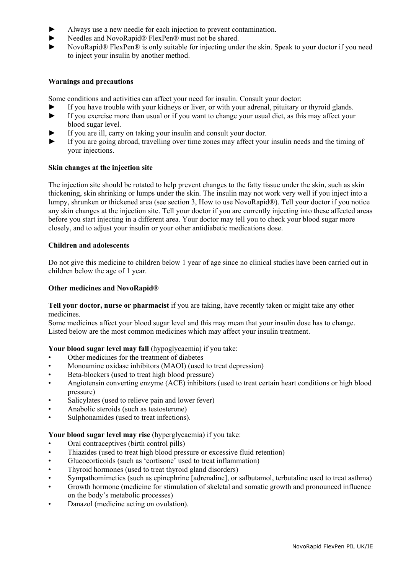- Always use a new needle for each injection to prevent contamination.
- Needles and NovoRapid® FlexPen® must not be shared.
- NovoRapid® FlexPen® is only suitable for injecting under the skin. Speak to your doctor if you need to inject your insulin by another method.

## **Warnings and precautions**

Some conditions and activities can affect your need for insulin. Consult your doctor:

- If you have trouble with your kidneys or liver, or with your adrenal, pituitary or thyroid glands.
- ► If you exercise more than usual or if you want to change your usual diet, as this may affect your blood sugar level.
- If you are ill, carry on taking your insulin and consult your doctor.
- ► If you are going abroad, travelling over time zones may affect your insulin needs and the timing of your injections.

## **Skin changes at the injection site**

The injection site should be rotated to help prevent changes to the fatty tissue under the skin, such as skin thickening, skin shrinking or lumps under the skin. The insulin may not work very well if you inject into a lumpy, shrunken or thickened area (see section 3, How to use NovoRapid®). Tell your doctor if you notice any skin changes at the injection site. Tell your doctor if you are currently injecting into these affected areas before you start injecting in a different area. Your doctor may tell you to check your blood sugar more closely, and to adjust your insulin or your other antidiabetic medications dose.

## **Children and adolescents**

Do not give this medicine to children below 1 year of age since no clinical studies have been carried out in children below the age of 1 year.

## **Other medicines and NovoRapid®**

**Tell your doctor, nurse or pharmacist** if you are taking, have recently taken or might take any other medicines.

Some medicines affect your blood sugar level and this may mean that your insulin dose has to change. Listed below are the most common medicines which may affect your insulin treatment.

## Your blood sugar level may fall (hypoglycaemia) if you take:

- Other medicines for the treatment of diabetes
- Monoamine oxidase inhibitors (MAOI) (used to treat depression)
- Beta-blockers (used to treat high blood pressure)
- Angiotensin converting enzyme (ACE) inhibitors (used to treat certain heart conditions or high blood pressure)
- Salicylates (used to relieve pain and lower fever)
- Anabolic steroids (such as testosterone)
- Sulphonamides (used to treat infections).

## **Your blood sugar level may rise** (hyperglycaemia) if you take:

- Oral contraceptives (birth control pills)
- Thiazides (used to treat high blood pressure or excessive fluid retention)
- Glucocorticoids (such as 'cortisone' used to treat inflammation)
- Thyroid hormones (used to treat thyroid gland disorders)
- Sympathomimetics (such as epinephrine [adrenaline], or salbutamol, terbutaline used to treat asthma)
- Growth hormone (medicine for stimulation of skeletal and somatic growth and pronounced influence on the body's metabolic processes)
- Danazol (medicine acting on ovulation).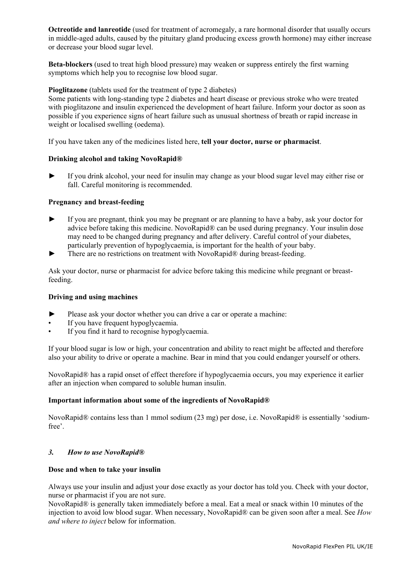**Octreotide and lanreotide** (used for treatment of acromegaly, a rare hormonal disorder that usually occurs in middle-aged adults, caused by the pituitary gland producing excess growth hormone) may either increase or decrease your blood sugar level.

**Beta-blockers** (used to treat high blood pressure) may weaken or suppress entirely the first warning symptoms which help you to recognise low blood sugar.

## **Pioglitazone** (tablets used for the treatment of type 2 diabetes)

Some patients with long-standing type 2 diabetes and heart disease or previous stroke who were treated with pioglitazone and insulin experienced the development of heart failure. Inform your doctor as soon as possible if you experience signs of heart failure such as unusual shortness of breath or rapid increase in weight or localised swelling (oedema).

If you have taken any of the medicines listed here, **tell your doctor, nurse or pharmacist**.

## **Drinking alcohol and taking NovoRapid®**

► If you drink alcohol, your need for insulin may change as your blood sugar level may either rise or fall. Careful monitoring is recommended.

## **Pregnancy and breast-feeding**

- If you are pregnant, think you may be pregnant or are planning to have a baby, ask your doctor for advice before taking this medicine. NovoRapid® can be used during pregnancy. Your insulin dose may need to be changed during pregnancy and after delivery. Careful control of your diabetes, particularly prevention of hypoglycaemia, is important for the health of your baby.
- There are no restrictions on treatment with NovoRapid® during breast-feeding.

Ask your doctor, nurse or pharmacist for advice before taking this medicine while pregnant or breastfeeding.

## **Driving and using machines**

- Please ask your doctor whether you can drive a car or operate a machine:
- If you have frequent hypoglycaemia.
- If you find it hard to recognise hypoglycaemia.

If your blood sugar is low or high, your concentration and ability to react might be affected and therefore also your ability to drive or operate a machine. Bear in mind that you could endanger yourself or others.

NovoRapid® has a rapid onset of effect therefore if hypoglycaemia occurs, you may experience it earlier after an injection when compared to soluble human insulin.

## **Important information about some of the ingredients of NovoRapid®**

NovoRapid® contains less than 1 mmol sodium (23 mg) per dose, i.e. NovoRapid® is essentially 'sodiumfree'.

## *3. How to use NovoRapid®*

## **Dose and when to take your insulin**

Always use your insulin and adjust your dose exactly as your doctor has told you. Check with your doctor, nurse or pharmacist if you are not sure.

NovoRapid® is generally taken immediately before a meal. Eat a meal or snack within 10 minutes of the injection to avoid low blood sugar. When necessary, NovoRapid® can be given soon after a meal. See *How and where to inject* below for information.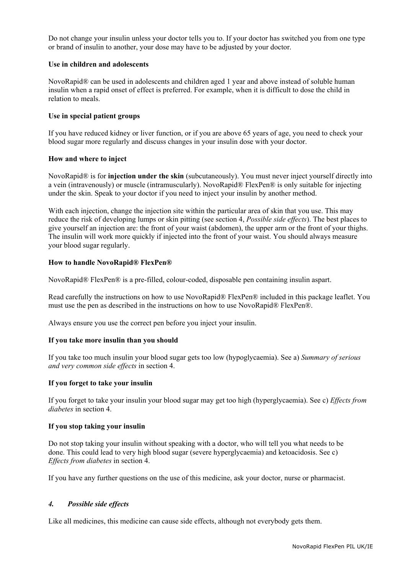Do not change your insulin unless your doctor tells you to. If your doctor has switched you from one type or brand of insulin to another, your dose may have to be adjusted by your doctor.

## **Use in children and adolescents**

NovoRapid® can be used in adolescents and children aged 1 year and above instead of soluble human insulin when a rapid onset of effect is preferred. For example, when it is difficult to dose the child in relation to meals.

## **Use in special patient groups**

If you have reduced kidney or liver function, or if you are above 65 years of age, you need to check your blood sugar more regularly and discuss changes in your insulin dose with your doctor.

#### **How and where to inject**

NovoRapid® is for **injection under the skin** (subcutaneously). You must never inject yourself directly into a vein (intravenously) or muscle (intramuscularly). NovoRapid® FlexPen® is only suitable for injecting under the skin. Speak to your doctor if you need to inject your insulin by another method.

With each injection, change the injection site within the particular area of skin that you use. This may reduce the risk of developing lumps or skin pitting (see section 4, *Possible side effects*). The best places to give yourself an injection are: the front of your waist (abdomen), the upper arm or the front of your thighs. The insulin will work more quickly if injected into the front of your waist. You should always measure your blood sugar regularly.

#### **How to handle NovoRapid® FlexPen®**

NovoRapid® FlexPen® is a pre-filled, colour-coded, disposable pen containing insulin aspart.

Read carefully the instructions on how to use NovoRapid® FlexPen® included in this package leaflet. You must use the pen as described in the instructions on how to use NovoRapid® FlexPen®.

Always ensure you use the correct pen before you inject your insulin.

## **If you take more insulin than you should**

If you take too much insulin your blood sugar gets too low (hypoglycaemia). See a) *Summary of serious and very common side effects* in section 4.

#### **If you forget to take your insulin**

If you forget to take your insulin your blood sugar may get too high (hyperglycaemia). See c) *Effects from diabetes* in section 4.

#### **If you stop taking your insulin**

Do not stop taking your insulin without speaking with a doctor, who will tell you what needs to be done. This could lead to very high blood sugar (severe hyperglycaemia) and ketoacidosis. See c) *Effects from diabetes* in section 4.

If you have any further questions on the use of this medicine, ask your doctor, nurse or pharmacist.

#### *4. Possible side effects*

Like all medicines, this medicine can cause side effects, although not everybody gets them.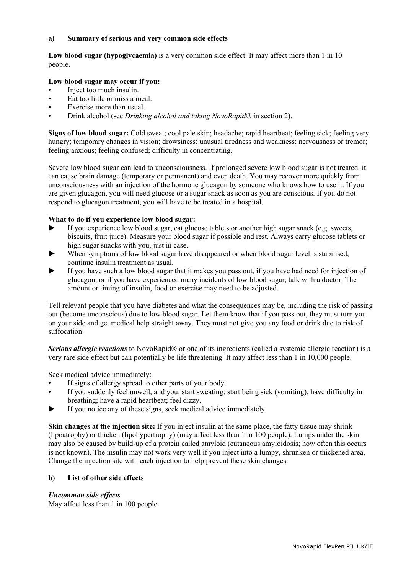## **a) Summary of serious and very common side effects**

**Low blood sugar (hypoglycaemia)** is a very common side effect. It may affect more than 1 in 10 people.

## **Low blood sugar may occur if you:**

- Inject too much insulin.
- Eat too little or miss a meal.
- Exercise more than usual.
- Drink alcohol (see *Drinking alcohol and taking NovoRapid®* in section 2).

**Signs of low blood sugar:** Cold sweat; cool pale skin; headache; rapid heartbeat; feeling sick; feeling very hungry; temporary changes in vision; drowsiness; unusual tiredness and weakness; nervousness or tremor; feeling anxious; feeling confused; difficulty in concentrating.

Severe low blood sugar can lead to unconsciousness. If prolonged severe low blood sugar is not treated, it can cause brain damage (temporary or permanent) and even death. You may recover more quickly from unconsciousness with an injection of the hormone glucagon by someone who knows how to use it. If you are given glucagon, you will need glucose or a sugar snack as soon as you are conscious. If you do not respond to glucagon treatment, you will have to be treated in a hospital.

## **What to do if you experience low blood sugar:**

- If you experience low blood sugar, eat glucose tablets or another high sugar snack (e.g. sweets, biscuits, fruit juice). Measure your blood sugar if possible and rest. Always carry glucose tablets or high sugar snacks with you, just in case.
- When symptoms of low blood sugar have disappeared or when blood sugar level is stabilised, continue insulin treatment as usual.
- ► If you have such a low blood sugar that it makes you pass out, if you have had need for injection of glucagon, or if you have experienced many incidents of low blood sugar, talk with a doctor. The amount or timing of insulin, food or exercise may need to be adjusted.

Tell relevant people that you have diabetes and what the consequences may be, including the risk of passing out (become unconscious) due to low blood sugar. Let them know that if you pass out, they must turn you on your side and get medical help straight away. They must not give you any food or drink due to risk of suffocation.

*Serious allergic reactions* to NovoRapid® or one of its ingredients (called a systemic allergic reaction) is a very rare side effect but can potentially be life threatening. It may affect less than 1 in 10,000 people.

Seek medical advice immediately:

- If signs of allergy spread to other parts of your body.
- If you suddenly feel unwell, and you: start sweating; start being sick (vomiting); have difficulty in breathing; have a rapid heartbeat; feel dizzy.
- ► If you notice any of these signs, seek medical advice immediately.

**Skin changes at the injection site:** If you inject insulin at the same place, the fatty tissue may shrink (lipoatrophy) or thicken (lipohypertrophy) (may affect less than 1 in 100 people). Lumps under the skin may also be caused by build-up of a protein called amyloid (cutaneous amyloidosis; how often this occurs is not known). The insulin may not work very well if you inject into a lumpy, shrunken or thickened area. Change the injection site with each injection to help prevent these skin changes.

## **b) List of other side effects**

## *Uncommon side effects*

May affect less than 1 in 100 people.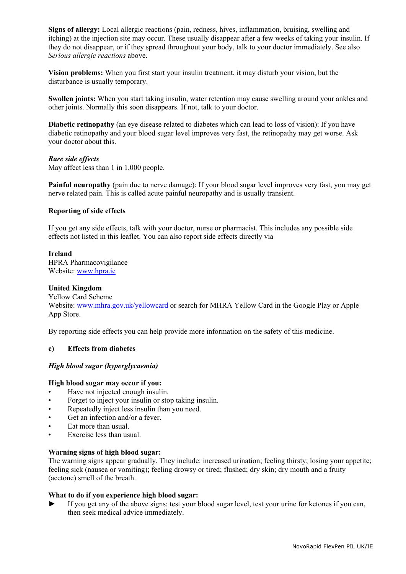**Signs of allergy:** Local allergic reactions (pain, redness, hives, inflammation, bruising, swelling and itching) at the injection site may occur. These usually disappear after a few weeks of taking your insulin. If they do not disappear, or if they spread throughout your body, talk to your doctor immediately. See also *Serious allergic reactions* above.

**Vision problems:** When you first start your insulin treatment, it may disturb your vision, but the disturbance is usually temporary.

**Swollen joints:** When you start taking insulin, water retention may cause swelling around your ankles and other joints. Normally this soon disappears. If not, talk to your doctor.

**Diabetic retinopathy** (an eye disease related to diabetes which can lead to loss of vision): If you have diabetic retinopathy and your blood sugar level improves very fast, the retinopathy may get worse. Ask your doctor about this.

#### *Rare side effects*

May affect less than 1 in 1,000 people.

**Painful neuropathy** (pain due to nerve damage): If your blood sugar level improves very fast, you may get nerve related pain. This is called acute painful neuropathy and is usually transient.

#### **Reporting of side effects**

If you get any side effects, talk with your doctor, nurse or pharmacist. This includes any possible side effects not listed in this leaflet. You can also report side effects directly via

#### **Ireland**

HPRA Pharmacovigilance Website: www.hpra.ie

#### **United Kingdom**

Yellow Card Scheme Website: www.mhra.gov.uk/yellowcard or search for MHRA Yellow Card in the Google Play or Apple App Store.

By reporting side effects you can help provide more information on the safety of this medicine.

## **c) Effects from diabetes**

## *High blood sugar (hyperglycaemia)*

#### **High blood sugar may occur if you:**

- Have not injected enough insulin.
- Forget to inject your insulin or stop taking insulin.
- Repeatedly inject less insulin than you need.
- Get an infection and/or a fever.
- Eat more than usual.
- Exercise less than usual.

## **Warning signs of high blood sugar:**

The warning signs appear gradually. They include: increased urination; feeling thirsty; losing your appetite; feeling sick (nausea or vomiting); feeling drowsy or tired; flushed; dry skin; dry mouth and a fruity (acetone) smell of the breath.

## **What to do if you experience high blood sugar:**

► If you get any of the above signs: test your blood sugar level, test your urine for ketones if you can, then seek medical advice immediately.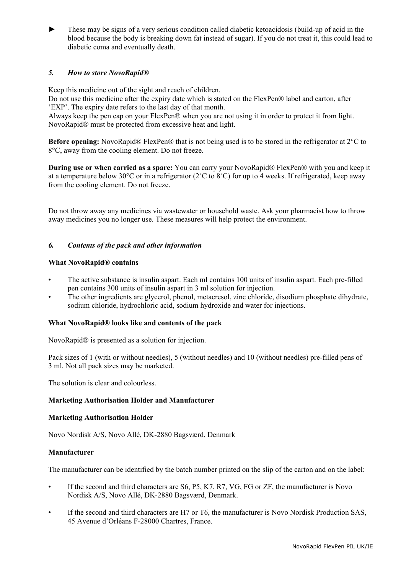► These may be signs of a very serious condition called diabetic ketoacidosis (build-up of acid in the blood because the body is breaking down fat instead of sugar). If you do not treat it, this could lead to diabetic coma and eventually death.

# *5. How to store NovoRapid®*

Keep this medicine out of the sight and reach of children.

Do not use this medicine after the expiry date which is stated on the FlexPen® label and carton, after 'EXP'. The expiry date refers to the last day of that month.

Always keep the pen cap on your FlexPen® when you are not using it in order to protect it from light. NovoRapid® must be protected from excessive heat and light.

**Before opening:** NovoRapid® FlexPen® that is not being used is to be stored in the refrigerator at 2°C to 8°C, away from the cooling element. Do not freeze.

**During use or when carried as a spare:** You can carry your NovoRapid® FlexPen® with you and keep it at a temperature below 30°C or in a refrigerator ( $2^{\circ}$ C to  $8^{\circ}$ C) for up to 4 weeks. If refrigerated, keep away from the cooling element. Do not freeze.

Do not throw away any medicines via wastewater or household waste. Ask your pharmacist how to throw away medicines you no longer use. These measures will help protect the environment.

## *6. Contents of the pack and other information*

## **What NovoRapid® contains**

- The active substance is insulin aspart. Each ml contains 100 units of insulin aspart. Each pre-filled pen contains 300 units of insulin aspart in 3 ml solution for injection.
- The other ingredients are glycerol, phenol, metacresol, zinc chloride, disodium phosphate dihydrate, sodium chloride, hydrochloric acid, sodium hydroxide and water for injections.

## **What NovoRapid® looks like and contents of the pack**

NovoRapid® is presented as a solution for injection.

Pack sizes of 1 (with or without needles), 5 (without needles) and 10 (without needles) pre-filled pens of 3 ml. Not all pack sizes may be marketed.

The solution is clear and colourless.

## **Marketing Authorisation Holder and Manufacturer**

## **Marketing Authorisation Holder**

Novo Nordisk A/S, Novo Allé, DK-2880 Bagsværd, Denmark

## **Manufacturer**

The manufacturer can be identified by the batch number printed on the slip of the carton and on the label:

- If the second and third characters are S6, P5, K7, R7, VG, FG or ZF, the manufacturer is Novo Nordisk A/S, Novo Allé, DK-2880 Bagsværd, Denmark.
- If the second and third characters are H7 or T6, the manufacturer is Novo Nordisk Production SAS, 45 Avenue d'Orléans F-28000 Chartres, France.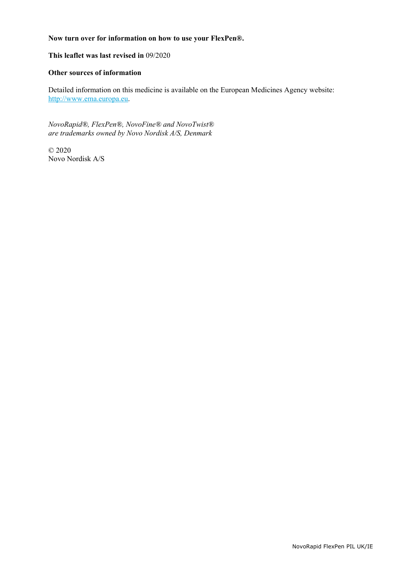## **Now turn over for information on how to use your FlexPen®.**

## **This leaflet was last revised in** 09/2020

## **Other sources of information**

Detailed information on this medicine is available on the European Medicines Agency website: http://www.ema.europa.eu.

*NovoRapid®, FlexPen®, NovoFine® and NovoTwist® are trademarks owned by Novo Nordisk A/S, Denmark* 

© 2020 Novo Nordisk A/S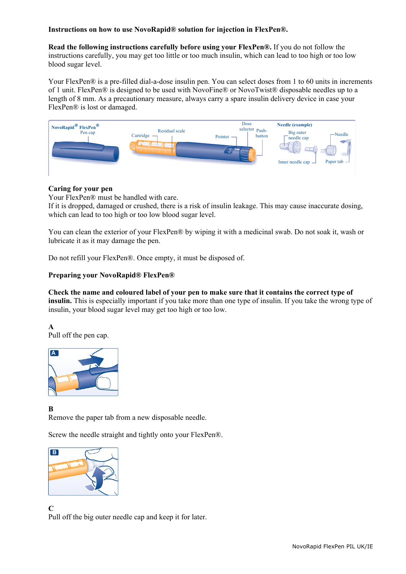## **Instructions on how to use NovoRapid® solution for injection in FlexPen®.**

**Read the following instructions carefully before using your FlexPen®.** If you do not follow the instructions carefully, you may get too little or too much insulin, which can lead to too high or too low blood sugar level.

Your FlexPen® is a pre-filled dial-a-dose insulin pen. You can select doses from 1 to 60 units in increments of 1 unit. FlexPen® is designed to be used with NovoFine® or NovoTwist® disposable needles up to a length of 8 mm. As a precautionary measure, always carry a spare insulin delivery device in case your FlexPen® is lost or damaged.



## **Caring for your pen**

Your FlexPen® must be handled with care.

If it is dropped, damaged or crushed, there is a risk of insulin leakage. This may cause inaccurate dosing, which can lead to too high or too low blood sugar level.

You can clean the exterior of your FlexPen® by wiping it with a medicinal swab. Do not soak it, wash or lubricate it as it may damage the pen.

Do not refill your FlexPen®. Once empty, it must be disposed of.

# **Preparing your NovoRapid® FlexPen®**

**Check the name and coloured label of your pen to make sure that it contains the correct type of insulin.** This is especially important if you take more than one type of insulin. If you take the wrong type of insulin, your blood sugar level may get too high or too low.

**A**  Pull off the pen cap.



**B** 

Remove the paper tab from a new disposable needle.

Screw the needle straight and tightly onto your FlexPen®.



**C** 

Pull off the big outer needle cap and keep it for later.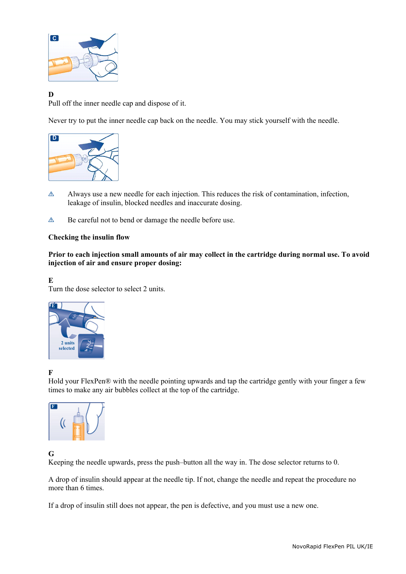

# **D**

Pull off the inner needle cap and dispose of it.

Never try to put the inner needle cap back on the needle. You may stick yourself with the needle.



- $\triangle$  Always use a new needle for each injection. This reduces the risk of contamination, infection, leakage of insulin, blocked needles and inaccurate dosing.
- Be careful not to bend or damage the needle before use.

## **Checking the insulin flow**

**Prior to each injection small amounts of air may collect in the cartridge during normal use. To avoid injection of air and ensure proper dosing:** 

**E**  Turn the dose selector to select 2 units.



**F** 

Hold your FlexPen® with the needle pointing upwards and tap the cartridge gently with your finger a few times to make any air bubbles collect at the top of the cartridge.



# **G**

Keeping the needle upwards, press the push–button all the way in. The dose selector returns to 0.

A drop of insulin should appear at the needle tip. If not, change the needle and repeat the procedure no more than 6 times.

If a drop of insulin still does not appear, the pen is defective, and you must use a new one.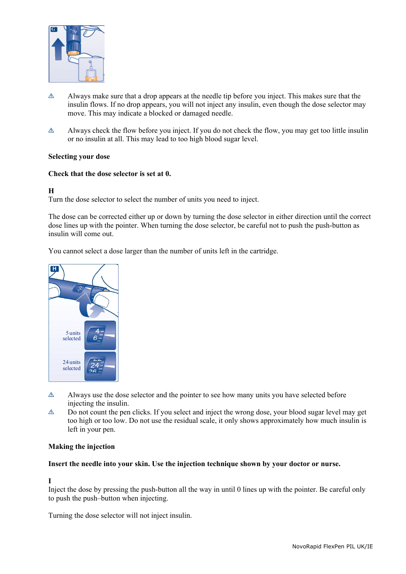

- $\triangle$  Always make sure that a drop appears at the needle tip before you inject. This makes sure that the insulin flows. If no drop appears, you will not inject any insulin, even though the dose selector may move. This may indicate a blocked or damaged needle.
- $\triangle$  Always check the flow before you inject. If you do not check the flow, you may get too little insulin or no insulin at all. This may lead to too high blood sugar level.

## **Selecting your dose**

## **Check that the dose selector is set at 0.**

# **H**

Turn the dose selector to select the number of units you need to inject.

The dose can be corrected either up or down by turning the dose selector in either direction until the correct dose lines up with the pointer. When turning the dose selector, be careful not to push the push-button as insulin will come out.

You cannot select a dose larger than the number of units left in the cartridge.



- $\triangle$  Always use the dose selector and the pointer to see how many units you have selected before injecting the insulin.
- $\triangle$  Do not count the pen clicks. If you select and inject the wrong dose, your blood sugar level may get too high or too low. Do not use the residual scale, it only shows approximately how much insulin is left in your pen.

## **Making the injection**

## **Insert the needle into your skin. Use the injection technique shown by your doctor or nurse.**

# **I**

Inject the dose by pressing the push-button all the way in until 0 lines up with the pointer. Be careful only to push the push–button when injecting.

Turning the dose selector will not inject insulin.